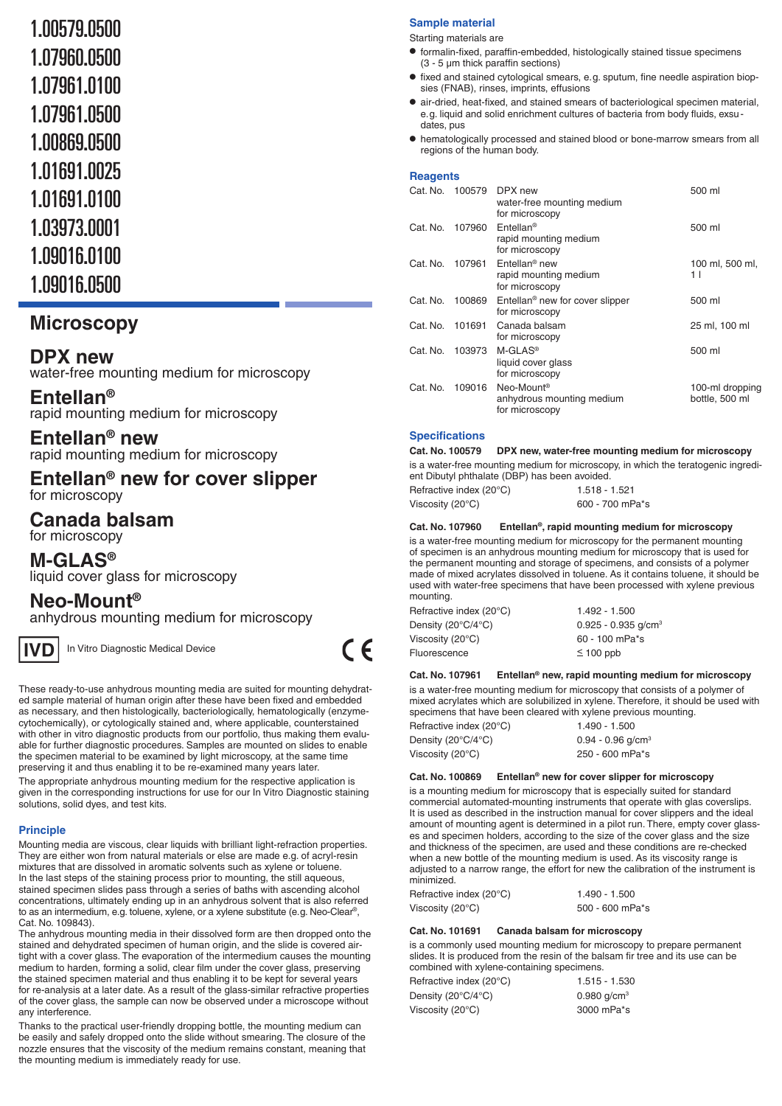# 1.00579.0500

- 1.07960.0500
- 1.07961.0100
- 1.07961.0500
- 1.00869.0500
- 1.01691.0025
- 1.01691.0100
- 1.03973.0001
- 
- 1.09016.0100
- 1.09016.0500

# **Microscopy**

# **DPX new**

water-free mounting medium for microscopy

# **Entellan®**

rapid mounting medium for microscopy

# **Entellan® new**

rapid mounting medium for microscopy

# **Entellan<sup>®</sup> new for cover slipper** for microscopy

# **Canada balsam**

for microscopy

**M-GLAS®** liquid cover glass for microscopy

# **Neo-Mount®**

anhydrous mounting medium for microscopy



In Vitro Diagnostic Medical Device

These ready-to-use anhydrous mounting media are suited for mounting dehydrated sample material of human origin after these have been fixed and embedded as necessary, and then histologically, bacteriologically, hematologically (enzymecytochemically), or cytologically stained and, where applicable, counterstained with other in vitro diagnostic products from our portfolio, thus making them evaluable for further diagnostic procedures. Samples are mounted on slides to enable the specimen material to be examined by light microscopy, at the same time preserving it and thus enabling it to be re-examined many years later.

The appropriate anhydrous mounting medium for the respective application is given in the corresponding instructions for use for our In Vitro Diagnostic staining solutions, solid dyes, and test kits.

# **Principle**

Mounting media are viscous, clear liquids with brilliant light-refraction properties. They are either won from natural materials or else are made e.g. of acryl-resin mixtures that are dissolved in aromatic solvents such as xylene or toluene. In the last steps of the staining process prior to mounting, the still aqueous, stained specimen slides pass through a series of baths with ascending alcohol concentrations, ultimately ending up in an anhydrous solvent that is also referred to as an intermedium, e.g. toluene, xylene, or a xylene substitute (e. g. Neo-Clear®, Cat. No. 109843).

The anhydrous mounting media in their dissolved form are then dropped onto the stained and dehydrated specimen of human origin, and the slide is covered airtight with a cover glass. The evaporation of the intermedium causes the mounting medium to harden, forming a solid, clear film under the cover glass, preserving the stained specimen material and thus enabling it to be kept for several years for re-analysis at a later date. As a result of the glass-similar refractive properties of the cover glass, the sample can now be observed under a microscope without any interference.

Thanks to the practical user-friendly dropping bottle, the mounting medium can be easily and safely dropped onto the slide without smearing. The closure of the nozzle ensures that the viscosity of the medium remains constant, meaning that the mounting medium is immediately ready for use.

## **Sample material**

Starting materials are

- formalin-fixed, paraffin-embedded, histologically stained tissue specimens (3 - 5 µm thick paraffin sections)
- fixed and stained cytological smears, e. g. sputum, fine needle aspiration biopsies (FNAB), rinses, imprints, effusions
- air-dried, heat-fixed, and stained smears of bacteriological specimen material, e. g. liquid and solid enrichment cultures of bacteria from body fluids, exsudates, pus
- hematologically processed and stained blood or bone-marrow smears from all regions of the human body.

# **Reagents**

| Cat. No. | 100579 | DPX new<br>water-free mounting medium<br>for microscopy               | 500 ml                            |
|----------|--------|-----------------------------------------------------------------------|-----------------------------------|
| Cat. No. | 107960 | $Entellan^{\circledcirc}$<br>rapid mounting medium<br>for microscopy  | 500 ml                            |
| Cat. No. | 107961 | Entellan <sup>®</sup> new<br>rapid mounting medium<br>for microscopy  | 100 ml, 500 ml,<br>11             |
| Cat. No. | 100869 | Entellan <sup>®</sup> new for cover slipper<br>for microscopy         | 500 ml                            |
| Cat. No. | 101691 | Canada balsam<br>for microscopy                                       | 25 ml, 100 ml                     |
| Cat. No. | 103973 | $M-GLAS®$<br>liquid cover glass<br>for microscopy                     | 500 ml                            |
| Cat. No. | 109016 | Neo-Mount <sup>®</sup><br>anhydrous mounting medium<br>for microscopy | 100-ml dropping<br>bottle, 500 ml |

## **Specifications**

**Cat. No. 100579 DPX new, water-free mounting medium for microscopy**

is a water-free mounting medium for microscopy, in which the teratogenic ingredient Dibutyl phthalate (DBP) has been avoided.

| Refractive index $(20^{\circ}C)$ | 1.518 - 1.521   |
|----------------------------------|-----------------|
| Viscosity (20 $^{\circ}$ C)      | 600 - 700 mPa*s |

## **Cat. No. 107960 Entellan®, rapid mounting medium for microscopy**

is a water-free mounting medium for microscopy for the permanent mounting of specimen is an anhydrous mounting medium for microscopy that is used for the permanent mounting and storage of specimens, and consists of a polymer made of mixed acrylates dissolved in toluene. As it contains toluene, it should be used with water-free specimens that have been processed with xylene previous mounting.

| Refractive index (20°C) | $1.492 - 1.500$                   |
|-------------------------|-----------------------------------|
| Density (20°C/4°C)      | $0.925 - 0.935$ g/cm <sup>3</sup> |
| Viscosity (20°C)        | $60 - 100$ mPa <sup>*</sup> s     |
| Fluorescence            | $\leq 100$ ppb                    |

## **Cat. No. 107961 Entellan® new, rapid mounting medium for microscopy**

is a water-free mounting medium for microscopy that consists of a polymer of mixed acrylates which are solubilized in xylene. Therefore, it should be used with specimens that have been cleared with xylene previous mounting.

| <u>aboomnono man naro boon oloaloa mill hijlono piorload l</u> |                                 |
|----------------------------------------------------------------|---------------------------------|
| Refractive index (20°C)                                        | $1.490 - 1.500$                 |
| Density (20°C/4°C)                                             | $0.94 - 0.96$ g/cm <sup>3</sup> |
| Viscosity (20 $\degree$ C)                                     | 250 - 600 mPa*s                 |

## **Cat. No. 100869 Entellan® new for cover slipper for microscopy**

is a mounting medium for microscopy that is especially suited for standard commercial automated-mounting instruments that operate with glas coverslips. It is used as described in the instruction manual for cover slippers and the ideal amount of mounting agent is determined in a pilot run. There, empty cover glasses and specimen holders, according to the size of the cover glass and the size and thickness of the specimen, are used and these conditions are re-checked when a new bottle of the mounting medium is used. As its viscosity range is adjusted to a narrow range, the effort for new the calibration of the instrument is minimized.

| Refractive index (20°C) | 1.490 - 1.500   |
|-------------------------|-----------------|
| Viscosity (20°C)        | 500 - 600 mPa*s |

## **Cat. No. 101691 Canada balsam for microscopy**

is a commonly used mounting medium for microscopy to prepare permanent slides. It is produced from the resin of the balsam fir tree and its use can be combined with xylene-containing specimens.

| Refractive index (20°C) | 1.515 - 1.530 |
|-------------------------|---------------|
| Density (20°C/4°C)      | 0.980 $q/cm3$ |
| Viscosity (20°C)        | 3000 mPa*s    |

 $C \in$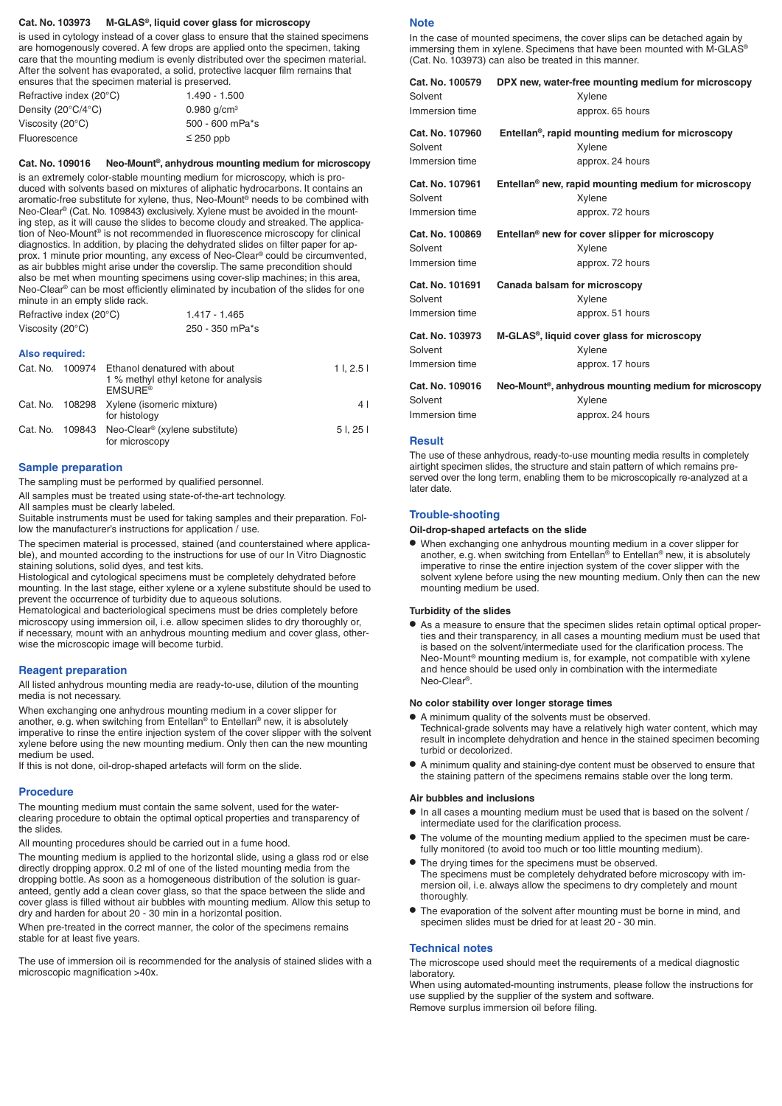#### **Cat. No. 103973 M-GLAS®, liquid cover glass for microscopy**

is used in cytology instead of a cover glass to ensure that the stained specimens are homogenously covered. A few drops are applied onto the specimen, taking care that the mounting medium is evenly distributed over the specimen material. After the solvent has evaporated, a solid, protective lacquer film remains that ensures that the specimen material is preserved.

| Refractive index (20°C)                | $1.490 - 1.500$           |
|----------------------------------------|---------------------------|
| Density (20 $\degree$ C/4 $\degree$ C) | $0.980$ g/cm <sup>3</sup> |
| Viscosity $(20^{\circ}C)$              | 500 - 600 mPa*s           |
| Fluorescence                           | $\leq$ 250 ppb            |

#### **Cat. No. 109016 Neo-Mount®, anhydrous mounting medium for microscopy**

is an extremely color-stable mounting medium for microscopy, which is produced with solvents based on mixtures of aliphatic hydrocarbons. It contains an aromatic-free substitute for xylene, thus, Neo-Mount® needs to be combined with Neo-Clear® (Cat. No. 109843) exclusively. Xylene must be avoided in the mounting step, as it will cause the slides to become cloudy and streaked. The application of Neo-Mount® is not recommended in fluorescence microscopy for clinical diagnostics. In addition, by placing the dehydrated slides on filter paper for approx. 1 minute prior mounting, any excess of Neo-Clear® could be circumvented, as air bubbles might arise under the coverslip. The same precondition should also be met when mounting specimens using cover-slip machines; in this area, Neo-Clear® can be most efficiently eliminated by incubation of the slides for one minute in an empty slide rack.

| Refractive index (20°C)    | 1.417 - 1.465   |
|----------------------------|-----------------|
| Viscosity (20 $\degree$ C) | 250 - 350 mPa*s |

#### **Also required:**

| Cat. No. | 100974 Ethanol denatured with about<br>1 % methyl ethyl ketone for analysis<br><b>EMSURE<sup>®</sup></b> | 11.2.51 |
|----------|----------------------------------------------------------------------------------------------------------|---------|
|          | Cat. No. 108298 Xylene (isomeric mixture)<br>for histology                                               | 4 I     |
|          | Cat. No. 109843 Neo-Clear <sup>®</sup> (xylene substitute)<br>for microscopy                             | 51.251  |

#### **Sample preparation**

The sampling must be performed by qualified personnel.

All samples must be treated using state-of-the-art technology.

All samples must be clearly labeled.

Suitable instruments must be used for taking samples and their preparation. Follow the manufacturer's instructions for application / use.

The specimen material is processed, stained (and counterstained where applicable), and mounted according to the instructions for use of our In Vitro Diagnostic staining solutions, solid dyes, and test kits.

Histological and cytological specimens must be completely dehydrated before mounting. In the last stage, either xylene or a xylene substitute should be used to prevent the occurrence of turbidity due to aqueous solutions.

Hematological and bacteriological specimens must be dries completely before microscopy using immersion oil, i. e. allow specimen slides to dry thoroughly or, if necessary, mount with an anhydrous mounting medium and cover glass, otherwise the microscopic image will become turbid.

#### **Reagent preparation**

All listed anhydrous mounting media are ready-to-use, dilution of the mounting media is not necessary.

When exchanging one anhydrous mounting medium in a cover slipper for another, e.g. when switching from Entellan® to Entellan® new, it is absolutely imperative to rinse the entire injection system of the cover slipper with the solvent xylene before using the new mounting medium. Only then can the new mounting medium be used.

If this is not done, oil-drop-shaped artefacts will form on the slide.

#### **Procedure**

The mounting medium must contain the same solvent, used for the waterclearing procedure to obtain the optimal optical properties and transparency of the slides.

All mounting procedures should be carried out in a fume hood.

The mounting medium is applied to the horizontal slide, using a glass rod or else directly dropping approx. 0.2 ml of one of the listed mounting media from the dropping bottle. As soon as a homogeneous distribution of the solution is guaranteed, gently add a clean cover glass, so that the space between the slide and cover glass is filled without air bubbles with mounting medium. Allow this setup to dry and harden for about 20 - 30 min in a horizontal position.

When pre-treated in the correct manner, the color of the specimens remains stable for at least five years.

The use of immersion oil is recommended for the analysis of stained slides with a microscopic magnification >40x.

#### **Note**

In the case of mounted specimens, the cover slips can be detached again by immersing them in xylene. Specimens that have been mounted with M-GLAS® (Cat. No. 103973) can also be treated in this manner.

| Cat. No. 100579 | DPX new, water-free mounting medium for microscopy                |
|-----------------|-------------------------------------------------------------------|
| Solvent         | Xylene                                                            |
| Immersion time  | approx. 65 hours                                                  |
| Cat. No. 107960 | Entellan <sup>®</sup> , rapid mounting medium for microscopy      |
| Solvent         | Xylene                                                            |
| Immersion time  | approx. 24 hours                                                  |
| Cat. No. 107961 | Entellan <sup>®</sup> new, rapid mounting medium for microscopy   |
| Solvent         | Xylene                                                            |
| Immersion time  | approx. 72 hours                                                  |
| Cat. No. 100869 | Entellan <sup>®</sup> new for cover slipper for microscopy        |
| Solvent         | Xylene                                                            |
| Immersion time  | approx. 72 hours                                                  |
| Cat. No. 101691 | Canada balsam for microscopy                                      |
| Solvent         | Xylene                                                            |
| Immersion time  | approx. 51 hours                                                  |
| Cat. No. 103973 | M-GLAS®, liquid cover glass for microscopy                        |
| Solvent         | Xylene                                                            |
| Immersion time  | approx. 17 hours                                                  |
| Cat. No. 109016 | Neo-Mount <sup>®</sup> , anhydrous mounting medium for microscopy |
| Solvent         | Xylene                                                            |
| Immersion time  | approx. 24 hours                                                  |

#### **Result**

The use of these anhydrous, ready-to-use mounting media results in completely airtight specimen slides, the structure and stain pattern of which remains preserved over the long term, enabling them to be microscopically re-analyzed at a later date.

#### **Trouble-shooting**

#### **Oil-drop-shaped artefacts on the slide**

• When exchanging one anhydrous mounting medium in a cover slipper for another, e.g. when switching from Entellan® to Entellan® new, it is absolutely imperative to rinse the entire injection system of the cover slipper with the solvent xylene before using the new mounting medium. Only then can the new mounting medium be used.

#### **Turbidity of the slides**

• As a measure to ensure that the specimen slides retain optimal optical properties and their transparency, in all cases a mounting medium must be used that is based on the solvent/intermediate used for the clarification process. The Neo-Mount® mounting medium is, for example, not compatible with xylene and hence should be used only in combination with the intermediate Neo-Clear®.

#### **No color stability over longer storage times**

- A minimum quality of the solvents must be observed. Technical-grade solvents may have a relatively high water content, which may result in incomplete dehydration and hence in the stained specimen becoming turbid or decolorized.
- A minimum quality and staining-dye content must be observed to ensure that the staining pattern of the specimens remains stable over the long term.

#### **Air bubbles and inclusions**

- In all cases a mounting medium must be used that is based on the solvent / intermediate used for the clarification process.
- The volume of the mounting medium applied to the specimen must be carefully monitored (to avoid too much or too little mounting medium).
- The drying times for the specimens must be observed. The specimens must be completely dehydrated before microscopy with immersion oil, i. e. always allow the specimens to dry completely and mount thoroughly.
- The evaporation of the solvent after mounting must be borne in mind, and specimen slides must be dried for at least 20 - 30 min.

#### **Technical notes**

The microscope used should meet the requirements of a medical diagnostic laboratory.

When using automated-mounting instruments, please follow the instructions for use supplied by the supplier of the system and software. Remove surplus immersion oil before filing.